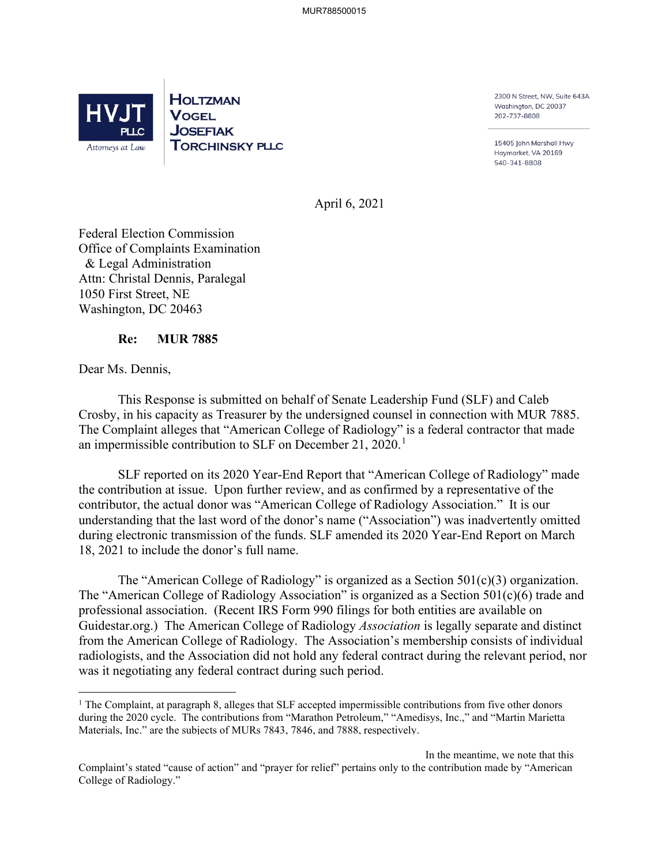

**HOLTZMAN VOGEL JOSEFIAK ToRCHINSKY PL.LC**  2300 N Street, NW, Suite 643A Washington, DC 20037 202-737-8808

15405 John Marshall Hwy Haymarket, VA 20169 540-341-8808

April 6, 2021

Federal Election Commission Office of Complaints Examination & Legal Administration Attn: Christal Dennis, Paralegal 1050 First Street, NE Washington, DC 20463

## **Re: MUR 7885**

Dear Ms. Dennis,

 This Response is submitted on behalf of Senate Leadership Fund (SLF) and Caleb Crosby, in his capacity as Treasurer by the undersigned counsel in connection with MUR 7885. The Complaint alleges that "American College of Radiology" is a federal contractor that made an impermissible contribution to SLF on December 21, 2020.<sup>1</sup>

SLF reported on its 2020 Year-End Report that "American College of Radiology" made the contribution at issue. Upon further review, and as confirmed by a representative of the contributor, the actual donor was "American College of Radiology Association." It is our understanding that the last word of the donor's name ("Association") was inadvertently omitted during electronic transmission of the funds. SLF amended its 2020 Year-End Report on March 18, 2021 to include the donor's full name.

The "American College of Radiology" is organized as a Section  $501(c)(3)$  organization. The "American College of Radiology Association" is organized as a Section 501(c)(6) trade and professional association. (Recent IRS Form 990 filings for both entities are available on Guidestar.org.) The American College of Radiology *Association* is legally separate and distinct from the American College of Radiology. The Association's membership consists of individual radiologists, and the Association did not hold any federal contract during the relevant period, nor was it negotiating any federal contract during such period.

<sup>&</sup>lt;sup>1</sup> The Complaint, at paragraph 8, alleges that SLF accepted impermissible contributions from five other donors during the 2020 cycle. The contributions from "Marathon Petroleum," "Amedisys, Inc.," and "Martin Marietta Materials, Inc." are the subjects of MURs 7843, 7846, and 7888, respectively.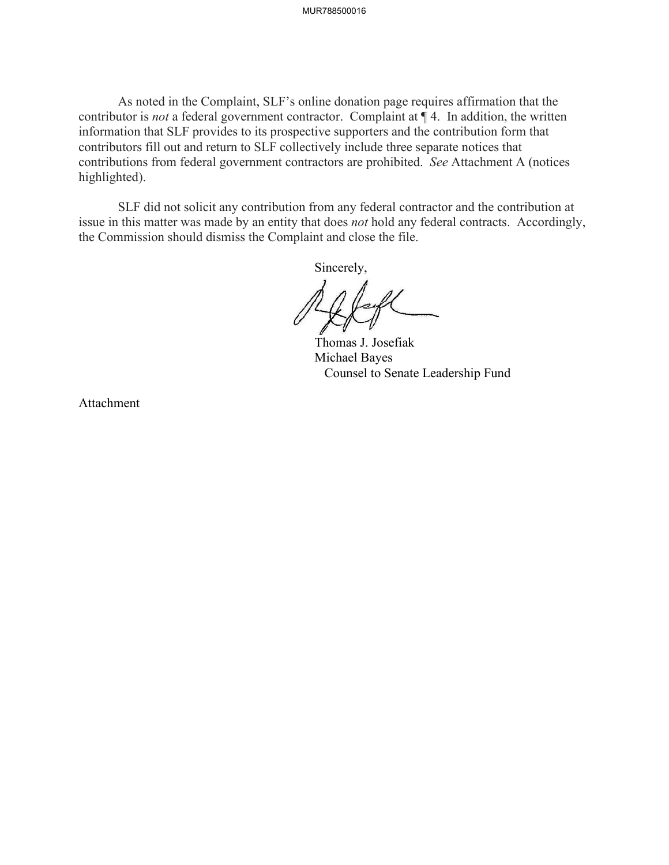As noted in the Complaint, SLF's online donation page requires affirmation that the contributor is *not* a federal government contractor. Complaint at ¶ 4. In addition, the written information that SLF provides to its prospective supporters and the contribution form that contributors fill out and return to SLF collectively include three separate notices that contributions from federal government contractors are prohibited. *See* Attachment A (notices highlighted).

SLF did not solicit any contribution from any federal contractor and the contribution at issue in this matter was made by an entity that does *not* hold any federal contracts. Accordingly, the Commission should dismiss the Complaint and close the file.

Sincerely,

 Thomas J. Josefiak Michael Bayes Counsel to Senate Leadership Fund

Attachment